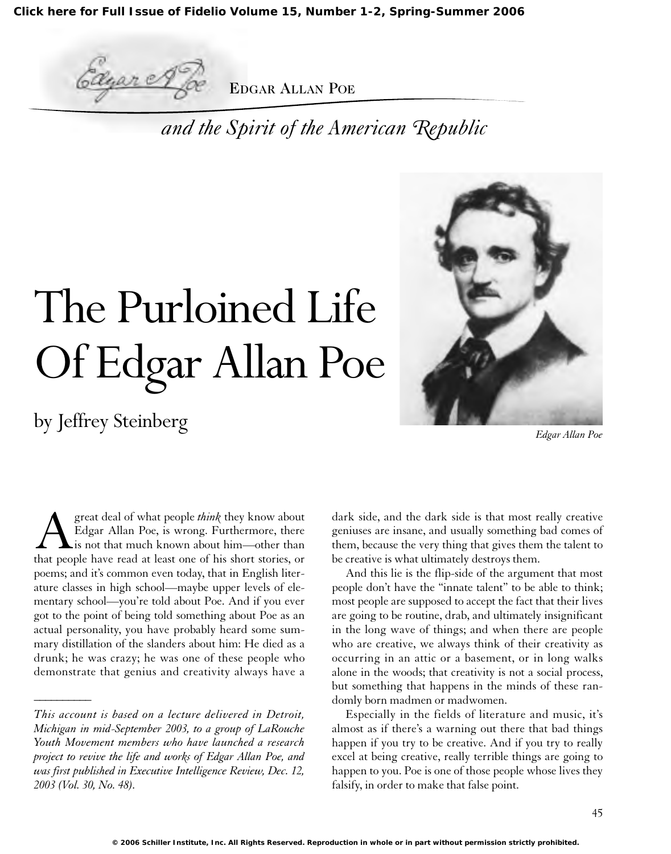**[Click here for Full Issue of Fidelio Volume 15, Number 1-2, Spring-Summer 2006](http://schillerinstitute.org/fidelio_archive/2006/fidv15n01-02-2006SpSu/index.html)**

cane

EDGAR ALLAN POE

*and the Spirit of the American Republic*

# The Purloined Life Of Edgar Allan Poe

by Jeffrey Steinberg

*\_\_\_\_\_\_\_\_\_\_*



*Edgar Allan Poe*

**Agreat deal of what people** *think* they know about Edgar Allan Poe, is wrong. Furthermore, there is not that much known about him—other than that people have read at least one of his short stories, or Edgar Allan Poe, is wrong. Furthermore, there is not that much known about him—other than poems; and it's common even today, that in English literature classes in high school—maybe upper levels of elementary school—you're told about Poe. And if you ever got to the point of being told something about Poe as an actual personality, you have probably heard some summary distillation of the slanders about him: He died as a drunk; he was crazy; he was one of these people who demonstrate that genius and creativity always have a

dark side, and the dark side is that most really creative geniuses are insane, and usually something bad comes of them, because the very thing that gives them the talent to be creative is what ultimately destroys them.

And this lie is the flip-side of the argument that most people don't have the "innate talent" to be able to think; most people are supposed to accept the fact that their lives are going to be routine, drab, and ultimately insignificant in the long wave of things; and when there are people who are creative, we always think of their creativity as occurring in an attic or a basement, or in long walks alone in the woods; that creativity is not a social process, but something that happens in the minds of these randomly born madmen or madwomen.

Especially in the fields of literature and music, it's almost as if there's a warning out there that bad things happen if you try to be creative. And if you try to really excel at being creative, really terrible things are going to happen to you. Poe is one of those people whose lives they falsify, in order to make that false point.

*This account is based on a lecture delivered in Detroit, Michigan in mid-September 2003, to a group of LaRouche Youth Movement members who have launched a research project to revive the life and works of Edgar Allan Poe, and was first published in Executive Intelligence Review, Dec. 12, 2003 (Vol. 30, No. 48).*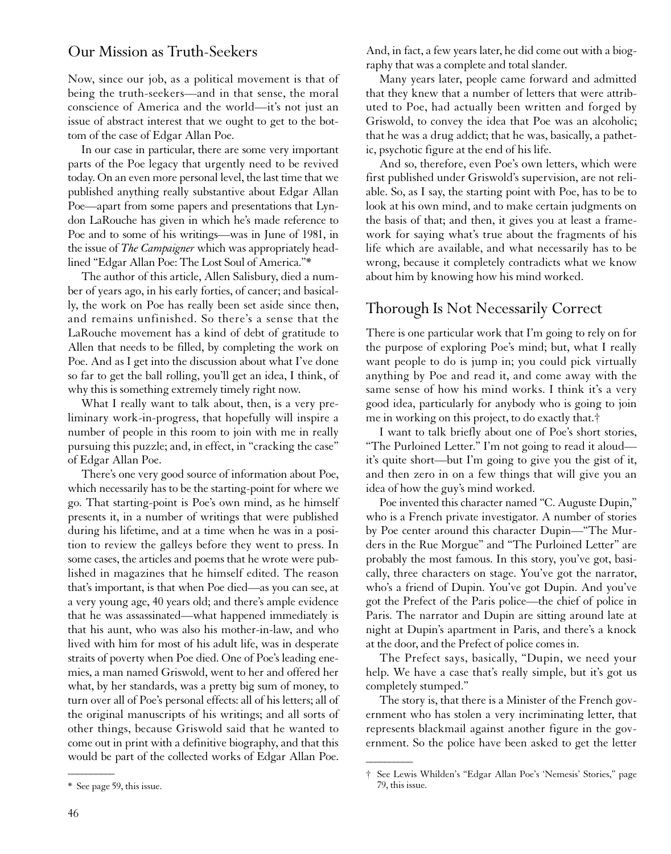#### Our Mission as Truth-Seekers

Now, since our job, as a political movement is that of being the truth-seekers—and in that sense, the moral conscience of America and the world—it's not just an issue of abstract interest that we ought to get to the bottom of the case of Edgar Allan Poe.

In our case in particular, there are some very important parts of the Poe legacy that urgently need to be revived today. On an even more personal level, the last time that we published anything really substantive about Edgar Allan Poe—apart from some papers and presentations that Lyndon LaRouche has given in which he's made reference to Poe and to some of his writings—was in June of 1981, in the issue of *The Campaigner* which was appropriately headlined "Edgar Allan Poe: The Lost Soul of America."\*

The author of this article, Allen Salisbury, died a number of years ago, in his early forties, of cancer; and basically, the work on Poe has really been set aside since then, and remains unfinished. So there's a sense that the LaRouche movement has a kind of debt of gratitude to Allen that needs to be filled, by completing the work on Poe. And as I get into the discussion about what I've done so far to get the ball rolling, you'll get an idea, I think, of why this is something extremely timely right now.

What I really want to talk about, then, is a very preliminary work-in-progress, that hopefully will inspire a number of people in this room to join with me in really pursuing this puzzle; and, in effect, in "cracking the case" of Edgar Allan Poe.

There's one very good source of information about Poe, which necessarily has to be the starting-point for where we go. That starting-point is Poe's own mind, as he himself presents it, in a number of writings that were published during his lifetime, and at a time when he was in a position to review the galleys before they went to press. In some cases, the articles and poems that he wrote were published in magazines that he himself edited. The reason that's important, is that when Poe died—as you can see, at a very young age, 40 years old; and there's ample evidence that he was assassinated—what happened immediately is that his aunt, who was also his mother-in-law, and who lived with him for most of his adult life, was in desperate straits of poverty when Poe died. One of Poe's leading enemies, a man named Griswold, went to her and offered her what, by her standards, was a pretty big sum of money, to turn over all of Poe's personal effects: all of his letters; all of the original manuscripts of his writings; and all sorts of other things, because Griswold said that he wanted to come out in print with a definitive biography, and that this would be part of the collected works of Edgar Allan Poe.

And, in fact, a few years later, he did come out with a biography that was a complete and total slander.

Many years later, people came forward and admitted that they knew that a number of letters that were attributed to Poe, had actually been written and forged by Griswold, to convey the idea that Poe was an alcoholic; that he was a drug addict; that he was, basically, a pathetic, psychotic figure at the end of his life.

And so, therefore, even Poe's own letters, which were first published under Griswold's supervision, are not reliable. So, as I say, the starting point with Poe, has to be to look at his own mind, and to make certain judgments on the basis of that; and then, it gives you at least a framework for saying what's true about the fragments of his life which are available, and what necessarily has to be wrong, because it completely contradicts what we know about him by knowing how his mind worked.

## Thorough Is Not Necessarily Correct

There is one particular work that I'm going to rely on for the purpose of exploring Poe's mind; but, what I really want people to do is jump in; you could pick virtually anything by Poe and read it, and come away with the same sense of how his mind works. I think it's a very good idea, particularly for anybody who is going to join me in working on this project, to do exactly that.†

I want to talk briefly about one of Poe's short stories, "The Purloined Letter." I'm not going to read it aloud it's quite short—but I'm going to give you the gist of it, and then zero in on a few things that will give you an idea of how the guy's mind worked.

Poe invented this character named "C. Auguste Dupin," who is a French private investigator. A number of stories by Poe center around this character Dupin—"The Murders in the Rue Morgue" and "The Purloined Letter" are probably the most famous. In this story, you've got, basically, three characters on stage. You've got the narrator, who's a friend of Dupin. You've got Dupin. And you've got the Prefect of the Paris police—the chief of police in Paris. The narrator and Dupin are sitting around late at night at Dupin's apartment in Paris, and there's a knock at the door, and the Prefect of police comes in.

The Prefect says, basically, "Dupin, we need your help. We have a case that's really simple, but it's got us completely stumped."

The story is, that there is a Minister of the French government who has stolen a very incriminating letter, that represents blackmail against another figure in the government. So the police have been asked to get the letter

 $\overline{\phantom{a}}$ 

 $\overline{\phantom{a}}$ 

<sup>\*</sup> See page 59, this issue.

<sup>†</sup> See Lewis Whilden's "Edgar Allan Poe's 'Nemesis' Stories," page 79, this issue.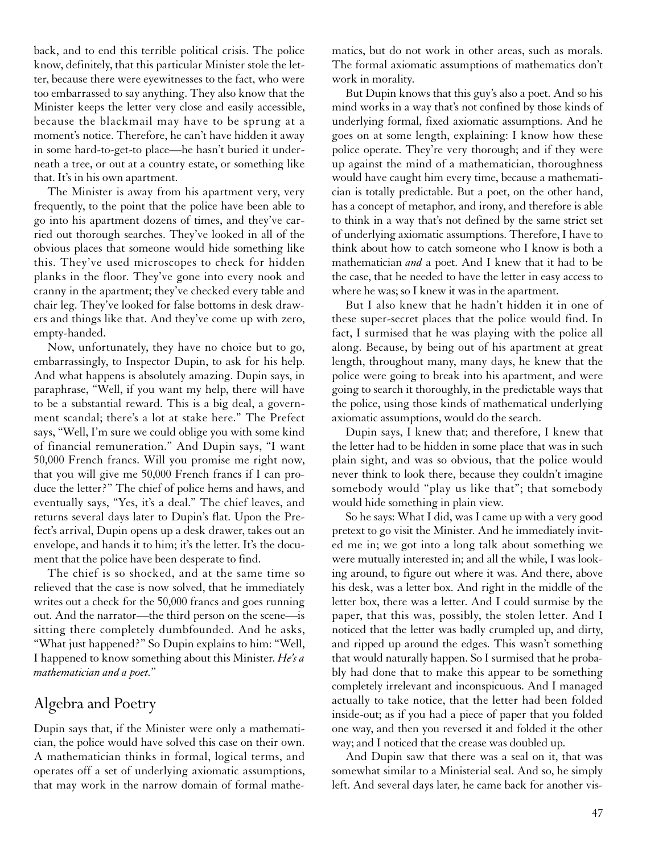back, and to end this terrible political crisis. The police know, definitely, that this particular Minister stole the letter, because there were eyewitnesses to the fact, who were too embarrassed to say anything. They also know that the Minister keeps the letter very close and easily accessible, because the blackmail may have to be sprung at a moment's notice. Therefore, he can't have hidden it away in some hard-to-get-to place—he hasn't buried it underneath a tree, or out at a country estate, or something like that. It's in his own apartment.

The Minister is away from his apartment very, very frequently, to the point that the police have been able to go into his apartment dozens of times, and they've carried out thorough searches. They've looked in all of the obvious places that someone would hide something like this. They've used microscopes to check for hidden planks in the floor. They've gone into every nook and cranny in the apartment; they've checked every table and chair leg. They've looked for false bottoms in desk drawers and things like that. And they've come up with zero, empty-handed.

Now, unfortunately, they have no choice but to go, embarrassingly, to Inspector Dupin, to ask for his help. And what happens is absolutely amazing. Dupin says, in paraphrase, "Well, if you want my help, there will have to be a substantial reward. This is a big deal, a government scandal; there's a lot at stake here." The Prefect says, "Well, I'm sure we could oblige you with some kind of financial remuneration." And Dupin says, "I want 50,000 French francs. Will you promise me right now, that you will give me 50,000 French francs if I can produce the letter?" The chief of police hems and haws, and eventually says, "Yes, it's a deal." The chief leaves, and returns several days later to Dupin's flat. Upon the Prefect's arrival, Dupin opens up a desk drawer, takes out an envelope, and hands it to him; it's the letter. It's the document that the police have been desperate to find.

The chief is so shocked, and at the same time so relieved that the case is now solved, that he immediately writes out a check for the 50,000 francs and goes running out. And the narrator—the third person on the scene—is sitting there completely dumbfounded. And he asks, "What just happened?" So Dupin explains to him: "Well, I happened to know something about this Minister. *He's a mathematician and a poet.*"

#### Algebra and Poetry

Dupin says that, if the Minister were only a mathematician, the police would have solved this case on their own. A mathematician thinks in formal, logical terms, and operates off a set of underlying axiomatic assumptions, that may work in the narrow domain of formal mathematics, but do not work in other areas, such as morals. The formal axiomatic assumptions of mathematics don't work in morality.

But Dupin knows that this guy's also a poet. And so his mind works in a way that's not confined by those kinds of underlying formal, fixed axiomatic assumptions. And he goes on at some length, explaining: I know how these police operate. They're very thorough; and if they were up against the mind of a mathematician, thoroughness would have caught him every time, because a mathematician is totally predictable. But a poet, on the other hand, has a concept of metaphor, and irony, and therefore is able to think in a way that's not defined by the same strict set of underlying axiomatic assumptions. Therefore, I have to think about how to catch someone who I know is both a mathematician *and* a poet. And I knew that it had to be the case, that he needed to have the letter in easy access to where he was; so I knew it was in the apartment.

But I also knew that he hadn't hidden it in one of these super-secret places that the police would find. In fact, I surmised that he was playing with the police all along. Because, by being out of his apartment at great length, throughout many, many days, he knew that the police were going to break into his apartment, and were going to search it thoroughly, in the predictable ways that the police, using those kinds of mathematical underlying axiomatic assumptions, would do the search.

Dupin says, I knew that; and therefore, I knew that the letter had to be hidden in some place that was in such plain sight, and was so obvious, that the police would never think to look there, because they couldn't imagine somebody would "play us like that"; that somebody would hide something in plain view.

So he says: What I did, was I came up with a very good pretext to go visit the Minister. And he immediately invited me in; we got into a long talk about something we were mutually interested in; and all the while, I was looking around, to figure out where it was. And there, above his desk, was a letter box. And right in the middle of the letter box, there was a letter. And I could surmise by the paper, that this was, possibly, the stolen letter. And I noticed that the letter was badly crumpled up, and dirty, and ripped up around the edges. This wasn't something that would naturally happen. So I surmised that he probably had done that to make this appear to be something completely irrelevant and inconspicuous. And I managed actually to take notice, that the letter had been folded inside-out; as if you had a piece of paper that you folded one way, and then you reversed it and folded it the other way; and I noticed that the crease was doubled up.

And Dupin saw that there was a seal on it, that was somewhat similar to a Ministerial seal. And so, he simply left. And several days later, he came back for another vis-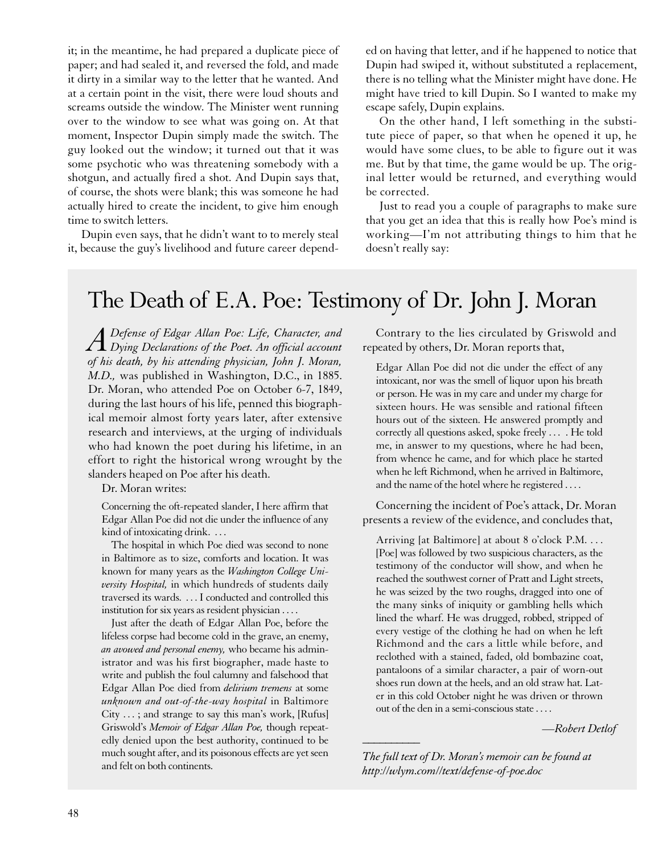it; in the meantime, he had prepared a duplicate piece of paper; and had sealed it, and reversed the fold, and made it dirty in a similar way to the letter that he wanted. And at a certain point in the visit, there were loud shouts and screams outside the window. The Minister went running over to the window to see what was going on. At that moment, Inspector Dupin simply made the switch. The guy looked out the window; it turned out that it was some psychotic who was threatening somebody with a shotgun, and actually fired a shot. And Dupin says that, of course, the shots were blank; this was someone he had actually hired to create the incident, to give him enough time to switch letters.

Dupin even says, that he didn't want to to merely steal it, because the guy's livelihood and future career depended on having that letter, and if he happened to notice that Dupin had swiped it, without substituted a replacement, there is no telling what the Minister might have done. He might have tried to kill Dupin. So I wanted to make my escape safely, Dupin explains.

On the other hand, I left something in the substitute piece of paper, so that when he opened it up, he would have some clues, to be able to figure out it was me. But by that time, the game would be up. The original letter would be returned, and everything would be corrected.

Just to read you a couple of paragraphs to make sure that you get an idea that this is really how Poe's mind is working—I'm not attributing things to him that he doesn't really say:

# The Death of E.A. Poe: Testimony of Dr. John J. Moran

*ADefense of Edgar Allan Poe: Life, Character, and Dying Declarations of the Poet. An official account of his death, by his attending physician, John J. Moran, M.D.,* was published in Washington, D.C., in 1885. Dr. Moran, who attended Poe on October 6-7, 1849, during the last hours of his life, penned this biographical memoir almost forty years later, after extensive research and interviews, at the urging of individuals who had known the poet during his lifetime, in an effort to right the historical wrong wrought by the slanders heaped on Poe after his death.

Dr. Moran writes:

Concerning the oft-repeated slander, I here affirm that Edgar Allan Poe did not die under the influence of any kind of intoxicating drink. . . .

The hospital in which Poe died was second to none in Baltimore as to size, comforts and location. It was known for many years as the *Washington College University Hospital,* in which hundreds of students daily traversed its wards. . . . I conducted and controlled this institution for six years as resident physician . . . .

Just after the death of Edgar Allan Poe, before the lifeless corpse had become cold in the grave, an enemy, *an avowed and personal enemy,* who became his administrator and was his first biographer, made haste to write and publish the foul calumny and falsehood that Edgar Allan Poe died from *delirium tremens* at some *unknown and out-of-the-way hospital* in Baltimore City . . . ; and strange to say this man's work, [Rufus] Griswold's *Memoir of Edgar Allan Poe,* though repeatedly denied upon the best authority, continued to be much sought after, and its poisonous effects are yet seen and felt on both continents.

Contrary to the lies circulated by Griswold and repeated by others, Dr. Moran reports that,

Edgar Allan Poe did not die under the effect of any intoxicant, nor was the smell of liquor upon his breath or person. He was in my care and under my charge for sixteen hours. He was sensible and rational fifteen hours out of the sixteen. He answered promptly and correctly all questions asked, spoke freely . . . . He told me, in answer to my questions, where he had been, from whence he came, and for which place he started when he left Richmond, when he arrived in Baltimore, and the name of the hotel where he registered . . . .

Concerning the incident of Poe's attack, Dr. Moran presents a review of the evidence, and concludes that,

Arriving [at Baltimore] at about 8 o'clock P.M. . . . [Poe] was followed by two suspicious characters, as the testimony of the conductor will show, and when he reached the southwest corner of Pratt and Light streets, he was seized by the two roughs, dragged into one of the many sinks of iniquity or gambling hells which lined the wharf. He was drugged, robbed, stripped of every vestige of the clothing he had on when he left Richmond and the cars a little while before, and reclothed with a stained, faded, old bombazine coat, pantaloons of a similar character, a pair of worn-out shoes run down at the heels, and an old straw hat. Later in this cold October night he was driven or thrown out of the den in a semi-conscious state . . . .

*—Robert Detlof \_\_\_\_\_\_\_\_\_\_*

*The full text of Dr. Moran's memoir can be found at http://wlym.com//text/defense-of-poe.doc*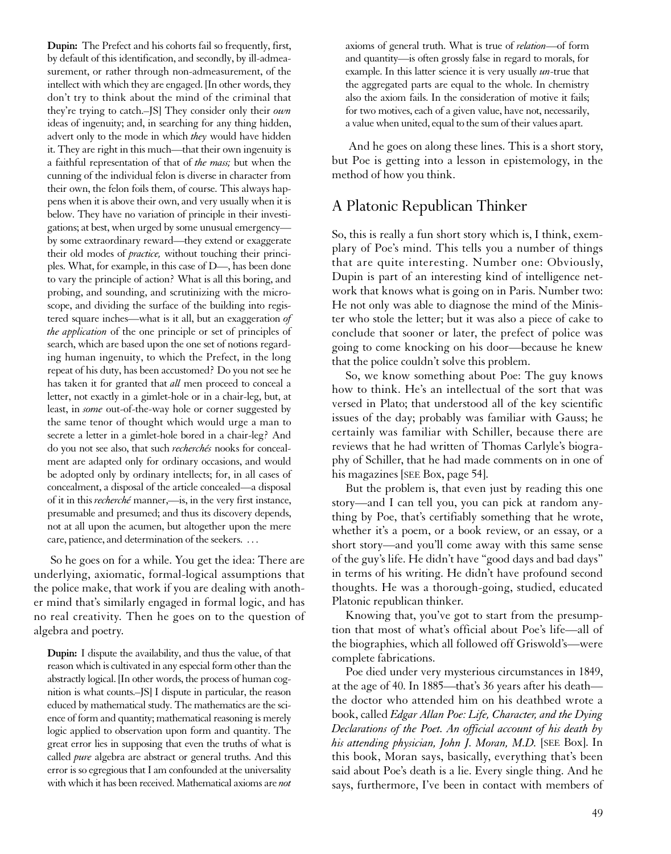**Dupin:** The Prefect and his cohorts fail so frequently, first, by default of this identification, and secondly, by ill-admeasurement, or rather through non-admeasurement, of the intellect with which they are engaged. [In other words, they don't try to think about the mind of the criminal that they're trying to catch.–JS] They consider only their *own* ideas of ingenuity; and, in searching for any thing hidden, advert only to the mode in which *they* would have hidden it. They are right in this much—that their own ingenuity is a faithful representation of that of *the mass;* but when the cunning of the individual felon is diverse in character from their own, the felon foils them, of course. This always happens when it is above their own, and very usually when it is below. They have no variation of principle in their investigations; at best, when urged by some unusual emergency by some extraordinary reward—they extend or exaggerate their old modes of *practice,* without touching their principles. What, for example, in this case of D—, has been done to vary the principle of action? What is all this boring, and probing, and sounding, and scrutinizing with the microscope, and dividing the surface of the building into registered square inches—what is it all, but an exaggeration *of the application* of the one principle or set of principles of search, which are based upon the one set of notions regarding human ingenuity, to which the Prefect, in the long repeat of his duty, has been accustomed? Do you not see he has taken it for granted that *all* men proceed to conceal a letter, not exactly in a gimlet-hole or in a chair-leg, but, at least, in *some* out-of-the-way hole or corner suggested by the same tenor of thought which would urge a man to secrete a letter in a gimlet-hole bored in a chair-leg? And do you not see also, that such *recherchés* nooks for concealment are adapted only for ordinary occasions, and would be adopted only by ordinary intellects; for, in all cases of concealment, a disposal of the article concealed—a disposal of it in this *recherché* manner,—is, in the very first instance, presumable and presumed; and thus its discovery depends, not at all upon the acumen, but altogether upon the mere care, patience, and determination of the seekers. . . .

So he goes on for a while. You get the idea: There are underlying, axiomatic, formal-logical assumptions that the police make, that work if you are dealing with another mind that's similarly engaged in formal logic, and has no real creativity. Then he goes on to the question of algebra and poetry.

**Dupin:** I dispute the availability, and thus the value, of that reason which is cultivated in any especial form other than the abstractly logical. [In other words, the process of human cognition is what counts.–JS] I dispute in particular, the reason educed by mathematical study. The mathematics are the science of form and quantity; mathematical reasoning is merely logic applied to observation upon form and quantity. The great error lies in supposing that even the truths of what is called *pure* algebra are abstract or general truths. And this error is so egregious that I am confounded at the universality with which it has been received. Mathematical axioms are *not* axioms of general truth. What is true of *relation*—of form and quantity—is often grossly false in regard to morals, for example. In this latter science it is very usually *un*-true that the aggregated parts are equal to the whole. In chemistry also the axiom fails. In the consideration of motive it fails; for two motives, each of a given value, have not, necessarily, a value when united, equal to the sum of their values apart.

And he goes on along these lines. This is a short story, but Poe is getting into a lesson in epistemology, in the method of how you think.

#### A Platonic Republican Thinker

So, this is really a fun short story which is, I think, exemplary of Poe's mind. This tells you a number of things that are quite interesting. Number one: Obviously, Dupin is part of an interesting kind of intelligence network that knows what is going on in Paris. Number two: He not only was able to diagnose the mind of the Minister who stole the letter; but it was also a piece of cake to conclude that sooner or later, the prefect of police was going to come knocking on his door—because he knew that the police couldn't solve this problem.

So, we know something about Poe: The guy knows how to think. He's an intellectual of the sort that was versed in Plato; that understood all of the key scientific issues of the day; probably was familiar with Gauss; he certainly was familiar with Schiller, because there are reviews that he had written of Thomas Carlyle's biography of Schiller, that he had made comments on in one of his magazines [SEE Box, page 54].

But the problem is, that even just by reading this one story—and I can tell you, you can pick at random anything by Poe, that's certifiably something that he wrote, whether it's a poem, or a book review, or an essay, or a short story—and you'll come away with this same sense of the guy's life. He didn't have "good days and bad days" in terms of his writing. He didn't have profound second thoughts. He was a thorough-going, studied, educated Platonic republican thinker.

Knowing that, you've got to start from the presumption that most of what's official about Poe's life—all of the biographies, which all followed off Griswold's—were complete fabrications.

Poe died under very mysterious circumstances in 1849, at the age of 40. In 1885—that's 36 years after his death the doctor who attended him on his deathbed wrote a book, called *Edgar Allan Poe: Life, Character, and the Dying Declarations of the Poet. An official account of his death by his attending physician, John J. Moran, M.D.* [SEE Box]. In this book, Moran says, basically, everything that's been said about Poe's death is a lie. Every single thing. And he says, furthermore, I've been in contact with members of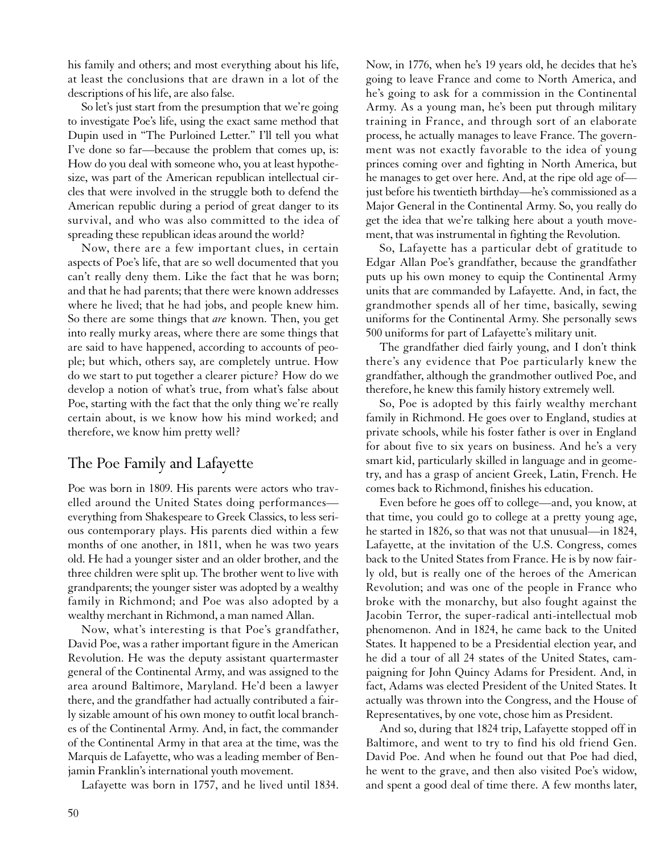his family and others; and most everything about his life, at least the conclusions that are drawn in a lot of the descriptions of his life, are also false.

So let's just start from the presumption that we're going to investigate Poe's life, using the exact same method that Dupin used in "The Purloined Letter." I'll tell you what I've done so far—because the problem that comes up, is: How do you deal with someone who, you at least hypothesize, was part of the American republican intellectual circles that were involved in the struggle both to defend the American republic during a period of great danger to its survival, and who was also committed to the idea of spreading these republican ideas around the world?

Now, there are a few important clues, in certain aspects of Poe's life, that are so well documented that you can't really deny them. Like the fact that he was born; and that he had parents; that there were known addresses where he lived; that he had jobs, and people knew him. So there are some things that *are* known. Then, you get into really murky areas, where there are some things that are said to have happened, according to accounts of people; but which, others say, are completely untrue. How do we start to put together a clearer picture? How do we develop a notion of what's true, from what's false about Poe, starting with the fact that the only thing we're really certain about, is we know how his mind worked; and therefore, we know him pretty well?

## The Poe Family and Lafayette

Poe was born in 1809. His parents were actors who travelled around the United States doing performances everything from Shakespeare to Greek Classics, to less serious contemporary plays. His parents died within a few months of one another, in 1811, when he was two years old. He had a younger sister and an older brother, and the three children were split up. The brother went to live with grandparents; the younger sister was adopted by a wealthy family in Richmond; and Poe was also adopted by a wealthy merchant in Richmond, a man named Allan.

Now, what's interesting is that Poe's grandfather, David Poe, was a rather important figure in the American Revolution. He was the deputy assistant quartermaster general of the Continental Army, and was assigned to the area around Baltimore, Maryland. He'd been a lawyer there, and the grandfather had actually contributed a fairly sizable amount of his own money to outfit local branches of the Continental Army. And, in fact, the commander of the Continental Army in that area at the time, was the Marquis de Lafayette, who was a leading member of Benjamin Franklin's international youth movement.

Lafayette was born in 1757, and he lived until 1834.

Now, in 1776, when he's 19 years old, he decides that he's going to leave France and come to North America, and he's going to ask for a commission in the Continental Army. As a young man, he's been put through military training in France, and through sort of an elaborate process, he actually manages to leave France. The government was not exactly favorable to the idea of young princes coming over and fighting in North America, but he manages to get over here. And, at the ripe old age of just before his twentieth birthday—he's commissioned as a Major General in the Continental Army. So, you really do get the idea that we're talking here about a youth movement, that was instrumental in fighting the Revolution.

So, Lafayette has a particular debt of gratitude to Edgar Allan Poe's grandfather, because the grandfather puts up his own money to equip the Continental Army units that are commanded by Lafayette. And, in fact, the grandmother spends all of her time, basically, sewing uniforms for the Continental Army. She personally sews 500 uniforms for part of Lafayette's military unit.

The grandfather died fairly young, and I don't think there's any evidence that Poe particularly knew the grandfather, although the grandmother outlived Poe, and therefore, he knew this family history extremely well.

So, Poe is adopted by this fairly wealthy merchant family in Richmond. He goes over to England, studies at private schools, while his foster father is over in England for about five to six years on business. And he's a very smart kid, particularly skilled in language and in geometry, and has a grasp of ancient Greek, Latin, French. He comes back to Richmond, finishes his education.

Even before he goes off to college—and, you know, at that time, you could go to college at a pretty young age, he started in 1826, so that was not that unusual—in 1824, Lafayette, at the invitation of the U.S. Congress, comes back to the United States from France. He is by now fairly old, but is really one of the heroes of the American Revolution; and was one of the people in France who broke with the monarchy, but also fought against the Jacobin Terror, the super-radical anti-intellectual mob phenomenon. And in 1824, he came back to the United States. It happened to be a Presidential election year, and he did a tour of all 24 states of the United States, campaigning for John Quincy Adams for President. And, in fact, Adams was elected President of the United States. It actually was thrown into the Congress, and the House of Representatives, by one vote, chose him as President.

And so, during that 1824 trip, Lafayette stopped off in Baltimore, and went to try to find his old friend Gen. David Poe. And when he found out that Poe had died, he went to the grave, and then also visited Poe's widow, and spent a good deal of time there. A few months later,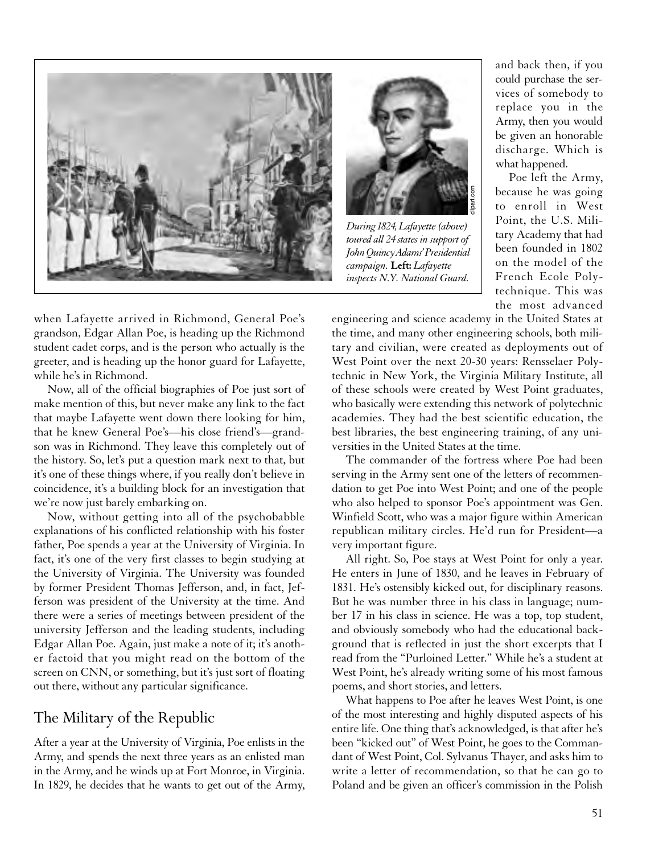



*During1824, Lafayette (above) toured all 24 states in support of John Quincy Adams' Presidential campaign.* **Left:** *Lafayette inspects N.Y. National Guard.*

and back then, if you could purchase the services of somebody to replace you in the Army, then you would be given an honorable discharge. Which is what happened.

Poe left the Army, because he was going to enroll in West Point, the U.S. Military Academy that had been founded in 1802 on the model of the French Ecole Polytechnique. This was the most advanced

engineering and science academy in the United States at the time, and many other engineering schools, both military and civilian, were created as deployments out of West Point over the next 20-30 years: Rensselaer Polytechnic in New York, the Virginia Military Institute, all of these schools were created by West Point graduates, who basically were extending this network of polytechnic academies. They had the best scientific education, the best libraries, the best engineering training, of any universities in the United States at the time.

The commander of the fortress where Poe had been serving in the Army sent one of the letters of recommendation to get Poe into West Point; and one of the people who also helped to sponsor Poe's appointment was Gen. Winfield Scott, who was a major figure within American republican military circles. He'd run for President—a very important figure.

All right. So, Poe stays at West Point for only a year. He enters in June of 1830, and he leaves in February of 1831. He's ostensibly kicked out, for disciplinary reasons. But he was number three in his class in language; number 17 in his class in science. He was a top, top student, and obviously somebody who had the educational background that is reflected in just the short excerpts that I read from the "Purloined Letter." While he's a student at West Point, he's already writing some of his most famous poems, and short stories, and letters.

What happens to Poe after he leaves West Point, is one of the most interesting and highly disputed aspects of his entire life. One thing that's acknowledged, is that after he's been "kicked out" of West Point, he goes to the Commandant of West Point, Col. Sylvanus Thayer, and asks him to write a letter of recommendation, so that he can go to Poland and be given an officer's commission in the Polish

when Lafayette arrived in Richmond, General Poe's grandson, Edgar Allan Poe, is heading up the Richmond student cadet corps, and is the person who actually is the greeter, and is heading up the honor guard for Lafayette, while he's in Richmond.

Now, all of the official biographies of Poe just sort of make mention of this, but never make any link to the fact that maybe Lafayette went down there looking for him, that he knew General Poe's—his close friend's—grandson was in Richmond. They leave this completely out of the history. So, let's put a question mark next to that, but it's one of these things where, if you really don't believe in coincidence, it's a building block for an investigation that we're now just barely embarking on.

Now, without getting into all of the psychobabble explanations of his conflicted relationship with his foster father, Poe spends a year at the University of Virginia. In fact, it's one of the very first classes to begin studying at the University of Virginia. The University was founded by former President Thomas Jefferson, and, in fact, Jefferson was president of the University at the time. And there were a series of meetings between president of the university Jefferson and the leading students, including Edgar Allan Poe. Again, just make a note of it; it's another factoid that you might read on the bottom of the screen on CNN, or something, but it's just sort of floating out there, without any particular significance.

# The Military of the Republic

After a year at the University of Virginia, Poe enlists in the Army, and spends the next three years as an enlisted man in the Army, and he winds up at Fort Monroe, in Virginia. In 1829, he decides that he wants to get out of the Army,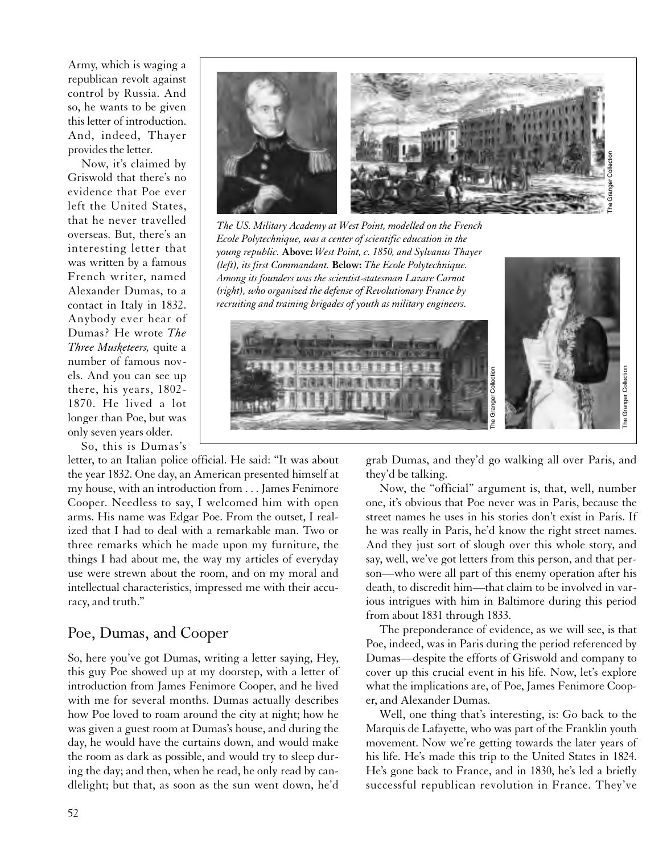Army, which is waging a republican revolt against control by Russia. And so, he wants to be given this letter of introduction. And, indeed, Thayer provides the letter.

Now, it's claimed by Griswold that there's no evidence that Poe ever left the United States, that he never travelled overseas. But, there's an interesting letter that was written by a famous French writer, named Alexander Dumas, to a contact in Italy in 1832. Anybody ever hear of Dumas? He wrote *The Three Musketeers,* quite a number of famous novels. And you can see up there, his years, 1802- 1870. He lived a lot longer than Poe, but was only seven years older.

So, this is Dumas's



the year 1832. One day, an American presented himself at my house, with an introduction from . . . James Fenimore Cooper. Needless to say, I welcomed him with open arms. His name was Edgar Poe. From the outset, I realized that I had to deal with a remarkable man. Two or three remarks which he made upon my furniture, the things I had about me, the way my articles of everyday use were strewn about the room, and on my moral and intellectual characteristics, impressed me with their accuracy, and truth."

## Poe, Dumas, and Cooper

So, here you've got Dumas, writing a letter saying, Hey, this guy Poe showed up at my doorstep, with a letter of introduction from James Fenimore Cooper, and he lived with me for several months. Dumas actually describes how Poe loved to roam around the city at night; how he was given a guest room at Dumas's house, and during the day, he would have the curtains down, and would make the room as dark as possible, and would try to sleep during the day; and then, when he read, he only read by candlelight; but that, as soon as the sun went down, he'd



*The US. Military Academy at West Point, modelled on the French Ecole Polytechnique, was a center of scientific education in the young republic.* **Above:** *West Point, c. 1850, and Sylvanus Thayer (left), its first Commandant.* **Below:** *The Ecole Polytechnique. Among its founders was the scientist-statesman Lazare Carnot (right), who organized the defense of Revolutionary France by recruiting and training brigades of youth as military engineers.*



grab Dumas, and they'd go walking all over Paris, and

Now, the "official" argument is, that, well, number one, it's obvious that Poe never was in Paris, because the street names he uses in his stories don't exist in Paris. If he was really in Paris, he'd know the right street names. And they just sort of slough over this whole story, and say, well, we've got letters from this person, and that person—who were all part of this enemy operation after his death, to discredit him—that claim to be involved in various intrigues with him in Baltimore during this period from about 1831 through 1833.

The preponderance of evidence, as we will see, is that Poe, indeed, was in Paris during the period referenced by Dumas—despite the efforts of Griswold and company to cover up this crucial event in his life. Now, let's explore what the implications are, of Poe, James Fenimore Cooper, and Alexander Dumas.

Well, one thing that's interesting, is: Go back to the Marquis de Lafayette, who was part of the Franklin youth movement. Now we're getting towards the later years of his life. He's made this trip to the United States in 1824. He's gone back to France, and in 1830, he's led a briefly successful republican revolution in France. They've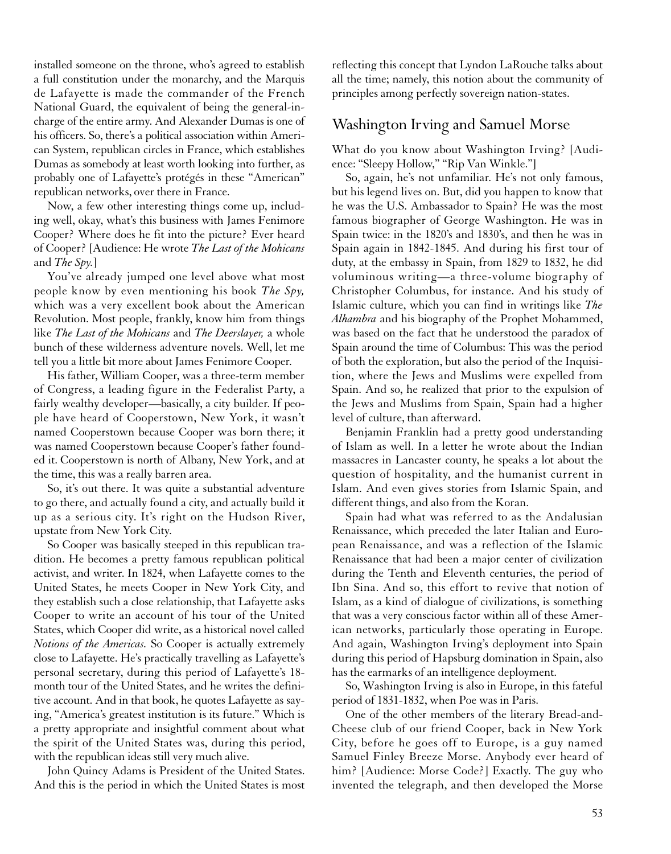installed someone on the throne, who's agreed to establish a full constitution under the monarchy, and the Marquis de Lafayette is made the commander of the French National Guard, the equivalent of being the general-incharge of the entire army. And Alexander Dumas is one of his officers. So, there's a political association within American System, republican circles in France, which establishes Dumas as somebody at least worth looking into further, as probably one of Lafayette's protégés in these "American" republican networks, over there in France.

Now, a few other interesting things come up, including well, okay, what's this business with James Fenimore Cooper? Where does he fit into the picture? Ever heard of Cooper? [Audience: He wrote *The Last of the Mohicans* and *The Spy.*]

You've already jumped one level above what most people know by even mentioning his book *The Spy,* which was a very excellent book about the American Revolution. Most people, frankly, know him from things like *The Last of the Mohicans* and *The Deerslayer,* a whole bunch of these wilderness adventure novels. Well, let me tell you a little bit more about James Fenimore Cooper.

His father, William Cooper, was a three-term member of Congress, a leading figure in the Federalist Party, a fairly wealthy developer—basically, a city builder. If people have heard of Cooperstown, New York, it wasn't named Cooperstown because Cooper was born there; it was named Cooperstown because Cooper's father founded it. Cooperstown is north of Albany, New York, and at the time, this was a really barren area.

So, it's out there. It was quite a substantial adventure to go there, and actually found a city, and actually build it up as a serious city. It's right on the Hudson River, upstate from New York City.

So Cooper was basically steeped in this republican tradition. He becomes a pretty famous republican political activist, and writer. In 1824, when Lafayette comes to the United States, he meets Cooper in New York City, and they establish such a close relationship, that Lafayette asks Cooper to write an account of his tour of the United States, which Cooper did write, as a historical novel called *Notions of the Americas.* So Cooper is actually extremely close to Lafayette. He's practically travelling as Lafayette's personal secretary, during this period of Lafayette's 18 month tour of the United States, and he writes the definitive account. And in that book, he quotes Lafayette as saying, "America's greatest institution is its future." Which is a pretty appropriate and insightful comment about what the spirit of the United States was, during this period, with the republican ideas still very much alive.

John Quincy Adams is President of the United States. And this is the period in which the United States is most reflecting this concept that Lyndon LaRouche talks about all the time; namely, this notion about the community of principles among perfectly sovereign nation-states.

#### Washington Irving and Samuel Morse

What do you know about Washington Irving? [Audience: "Sleepy Hollow," "Rip Van Winkle."]

So, again, he's not unfamiliar. He's not only famous, but his legend lives on. But, did you happen to know that he was the U.S. Ambassador to Spain? He was the most famous biographer of George Washington. He was in Spain twice: in the 1820's and 1830's, and then he was in Spain again in 1842-1845. And during his first tour of duty, at the embassy in Spain, from 1829 to 1832, he did voluminous writing—a three-volume biography of Christopher Columbus, for instance. And his study of Islamic culture, which you can find in writings like *The Alhambra* and his biography of the Prophet Mohammed, was based on the fact that he understood the paradox of Spain around the time of Columbus: This was the period of both the exploration, but also the period of the Inquisition, where the Jews and Muslims were expelled from Spain. And so, he realized that prior to the expulsion of the Jews and Muslims from Spain, Spain had a higher level of culture, than afterward.

Benjamin Franklin had a pretty good understanding of Islam as well. In a letter he wrote about the Indian massacres in Lancaster county, he speaks a lot about the question of hospitality, and the humanist current in Islam. And even gives stories from Islamic Spain, and different things, and also from the Koran.

Spain had what was referred to as the Andalusian Renaissance, which preceded the later Italian and European Renaissance, and was a reflection of the Islamic Renaissance that had been a major center of civilization during the Tenth and Eleventh centuries, the period of Ibn Sina. And so, this effort to revive that notion of Islam, as a kind of dialogue of civilizations, is something that was a very conscious factor within all of these American networks, particularly those operating in Europe. And again, Washington Irving's deployment into Spain during this period of Hapsburg domination in Spain, also has the earmarks of an intelligence deployment.

So, Washington Irving is also in Europe, in this fateful period of 1831-1832, when Poe was in Paris.

One of the other members of the literary Bread-and-Cheese club of our friend Cooper, back in New York City, before he goes off to Europe, is a guy named Samuel Finley Breeze Morse. Anybody ever heard of him? [Audience: Morse Code?] Exactly. The guy who invented the telegraph, and then developed the Morse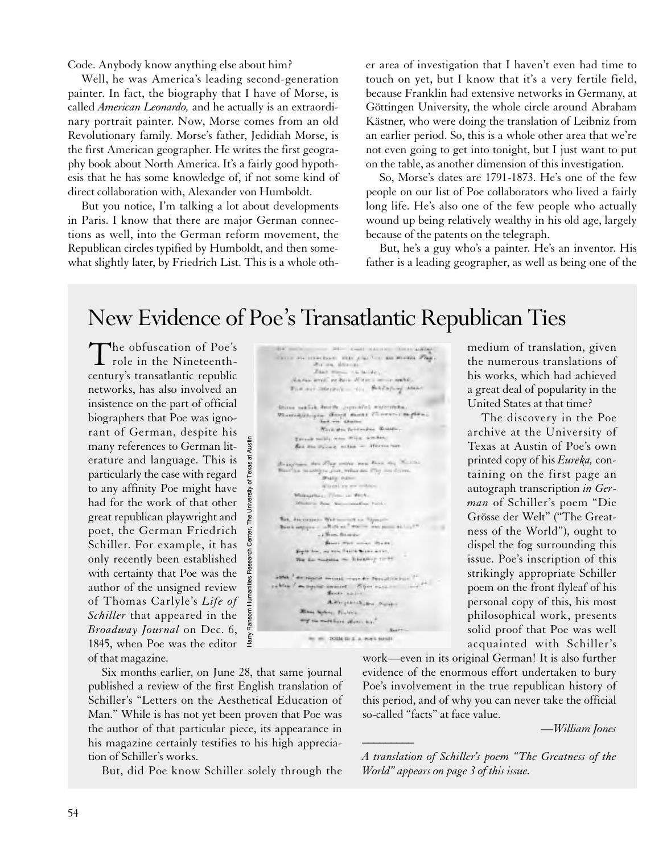Code. Anybody know anything else about him?

Well, he was America's leading second-generation painter. In fact, the biography that I have of Morse, is called *American Leonardo,* and he actually is an extraordinary portrait painter. Now, Morse comes from an old Revolutionary family. Morse's father, Jedidiah Morse, is the first American geographer. He writes the first geography book about North America. It's a fairly good hypothesis that he has some knowledge of, if not some kind of direct collaboration with, Alexander von Humboldt.

But you notice, I'm talking a lot about developments in Paris. I know that there are major German connections as well, into the German reform movement, the Republican circles typified by Humboldt, and then somewhat slightly later, by Friedrich List. This is a whole other area of investigation that I haven't even had time to touch on yet, but I know that it's a very fertile field, because Franklin had extensive networks in Germany, at Göttingen University, the whole circle around Abraham Kästner, who were doing the translation of Leibniz from an earlier period. So, this is a whole other area that we're not even going to get into tonight, but I just want to put on the table, as another dimension of this investigation.

So, Morse's dates are 1791-1873. He's one of the few people on our list of Poe collaborators who lived a fairly long life. He's also one of the few people who actually wound up being relatively wealthy in his old age, largely because of the patents on the telegraph.

But, he's a guy who's a painter. He's an inventor. His father is a leading geographer, as well as being one of the

# New Evidence of Poe's Transatlantic Republican Ties

The obfuscation of Poe's **L** role in the Nineteenthcentury's transatlantic republic networks, has also involved an insistence on the part of official biographers that Poe was ignorant of German, despite his many references to German literature and language. This is particularly the case with regard to any affinity Poe might have had for the work of that other great republican playwright and poet, the German Friedrich Schiller. For example, it has only recently been established with certainty that Poe was the author of the unsigned review of Thomas Carlyle's *Life of Schiller* that appeared in the *Broadway Journal* on Dec. 6, 1845, when Poe was the editor of that magazine.

| on order front annual County and by<br>Harry we creature was plat the an works Fig.<br>We are discount."<br>Filed Wayne 1.5 (alide).<br>Marke ered in here of the commentation<br>FOR NOT TRANSVE - TO PARTNING AND<br>Shires nealish druth joysvalled wherever has<br>Viceriaux pre dent short Cheveri to plan:<br>Bad.vic dilation<br>Trik the Scientists Bilder,<br>Tring mill are win awker.<br>Bet the Found miles - Herrie her<br>Branchese des Flag colles peu Bonn des Matthet<br>Birtha manips you will no the me during<br><b>Burg Admin</b> |  |
|--------------------------------------------------------------------------------------------------------------------------------------------------------------------------------------------------------------------------------------------------------------------------------------------------------------------------------------------------------------------------------------------------------------------------------------------------------------------------------------------------------------------------------------------------------|--|
|                                                                                                                                                                                                                                                                                                                                                                                                                                                                                                                                                        |  |
|                                                                                                                                                                                                                                                                                                                                                                                                                                                                                                                                                        |  |
|                                                                                                                                                                                                                                                                                                                                                                                                                                                                                                                                                        |  |
|                                                                                                                                                                                                                                                                                                                                                                                                                                                                                                                                                        |  |
|                                                                                                                                                                                                                                                                                                                                                                                                                                                                                                                                                        |  |
|                                                                                                                                                                                                                                                                                                                                                                                                                                                                                                                                                        |  |
|                                                                                                                                                                                                                                                                                                                                                                                                                                                                                                                                                        |  |
|                                                                                                                                                                                                                                                                                                                                                                                                                                                                                                                                                        |  |
|                                                                                                                                                                                                                                                                                                                                                                                                                                                                                                                                                        |  |
|                                                                                                                                                                                                                                                                                                                                                                                                                                                                                                                                                        |  |
|                                                                                                                                                                                                                                                                                                                                                                                                                                                                                                                                                        |  |
|                                                                                                                                                                                                                                                                                                                                                                                                                                                                                                                                                        |  |
|                                                                                                                                                                                                                                                                                                                                                                                                                                                                                                                                                        |  |
|                                                                                                                                                                                                                                                                                                                                                                                                                                                                                                                                                        |  |
|                                                                                                                                                                                                                                                                                                                                                                                                                                                                                                                                                        |  |
| Wirsthing are willing.                                                                                                                                                                                                                                                                                                                                                                                                                                                                                                                                 |  |
| Mileagetha L. Tiron, ca. Write.                                                                                                                                                                                                                                                                                                                                                                                                                                                                                                                        |  |
| Minking Row, New coordinate Painter.                                                                                                                                                                                                                                                                                                                                                                                                                                                                                                                   |  |
| The Jacques Wells-of a Speci-                                                                                                                                                                                                                                                                                                                                                                                                                                                                                                                          |  |
| Best repairs - all those water was possible in the                                                                                                                                                                                                                                                                                                                                                                                                                                                                                                     |  |
| - Chan Bracks                                                                                                                                                                                                                                                                                                                                                                                                                                                                                                                                          |  |
| Boott Well school Shade                                                                                                                                                                                                                                                                                                                                                                                                                                                                                                                                |  |
| South for, or the Teach School arts,                                                                                                                                                                                                                                                                                                                                                                                                                                                                                                                   |  |
| The En-Nodellia real Exception could                                                                                                                                                                                                                                                                                                                                                                                                                                                                                                                   |  |
| about the signal minut ways by Perceivance ?"                                                                                                                                                                                                                                                                                                                                                                                                                                                                                                          |  |
| colle / may be comed - Riger access - with                                                                                                                                                                                                                                                                                                                                                                                                                                                                                                             |  |
| Brefe hallet                                                                                                                                                                                                                                                                                                                                                                                                                                                                                                                                           |  |
| Altrigation News                                                                                                                                                                                                                                                                                                                                                                                                                                                                                                                                       |  |
| May Miles Fisher                                                                                                                                                                                                                                                                                                                                                                                                                                                                                                                                       |  |
| my on morthers about the                                                                                                                                                                                                                                                                                                                                                                                                                                                                                                                               |  |
| Saabt                                                                                                                                                                                                                                                                                                                                                                                                                                                                                                                                                  |  |
| Rt #1 (2004 St E A. POES MAS)                                                                                                                                                                                                                                                                                                                                                                                                                                                                                                                          |  |

medium of translation, given the numerous translations of his works, which had achieved a great deal of popularity in the United States at that time?

The discovery in the Poe archive at the University of Texas at Austin of Poe's own printed copy of his *Eureka,* containing on the first page an autograph transcription *in German* of Schiller's poem "Die Grösse der Welt" ("The Greatness of the World"), ought to dispel the fog surrounding this issue. Poe's inscription of this strikingly appropriate Schiller poem on the front flyleaf of his personal copy of this, his most philosophical work, presents solid proof that Poe was well acquainted with Schiller's

Six months earlier, on June 28, that same journal published a review of the first English translation of Schiller's "Letters on the Aesthetical Education of Man." While is has not yet been proven that Poe was the author of that particular piece, its appearance in his magazine certainly testifies to his high appreciation of Schiller's works.

But, did Poe know Schiller solely through the

work—even in its original German! It is also further evidence of the enormous effort undertaken to bury Poe's involvement in the true republican history of this period, and of why you can never take the official so-called "facts" at face value.

*—William Jones \_\_\_\_\_\_\_\_\_*

*A translation of Schiller's poem "The Greatness of the World" appears on page 3 of this issue.*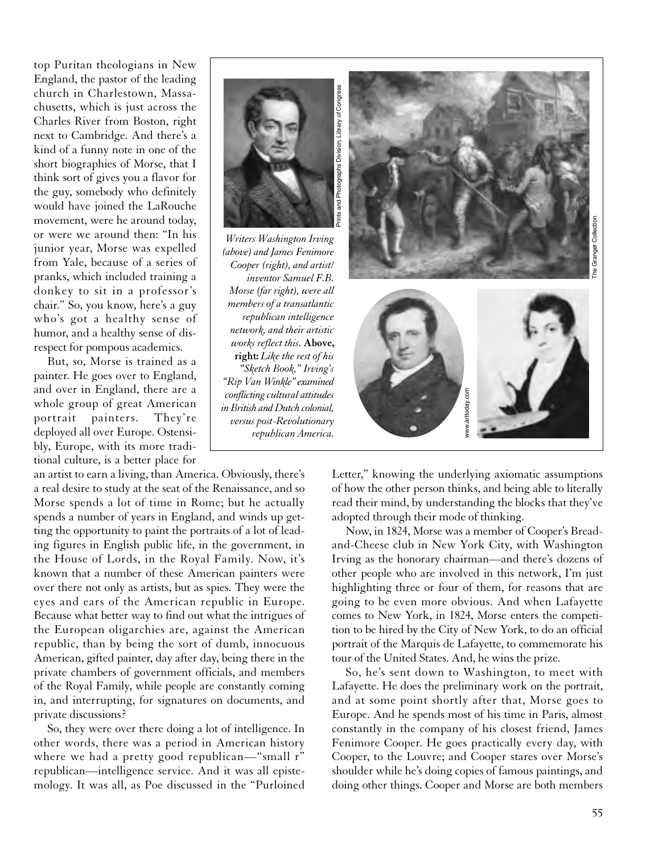top Puritan theologians in New England, the pastor of the leading church in Charlestown, Massachusetts, which is just across the Charles River from Boston, right next to Cambridge. And there's a kind of a funny note in one of the short biographies of Morse, that I think sort of gives you a flavor for the guy, somebody who definitely would have joined the LaRouche movement, were he around today, or were we around then: "In his junior year, Morse was expelled from Yale, because of a series of pranks, which included training a donkey to sit in a professor's chair." So, you know, here's a guy who's got a healthy sense of humor, and a healthy sense of disrespect for pompous academics.

But, so, Morse is trained as a painter. He goes over to England, and over in England, there are a whole group of great American portrait painters. They're deployed all over Europe. Ostensibly, Europe, with its more traditional culture, is a better place for

an artist to earn a living, than America. Obviously, there's a real desire to study at the seat of the Renaissance, and so Morse spends a lot of time in Rome; but he actually spends a number of years in England, and winds up getting the opportunity to paint the portraits of a lot of leading figures in English public life, in the government, in the House of Lords, in the Royal Family. Now, it's known that a number of these American painters were over there not only as artists, but as spies. They were the eyes and ears of the American republic in Europe. Because what better way to find out what the intrigues of the European oligarchies are, against the American republic, than by being the sort of dumb, innocuous American, gifted painter, day after day, being there in the private chambers of government officials, and members of the Royal Family, while people are constantly coming in, and interrupting, for signatures on documents, and private discussions?

So, they were over there doing a lot of intelligence. In other words, there was a period in American history where we had a pretty good republican—"small r" republican—intelligence service. And it was all epistemology. It was all, as Poe discussed in the "Purloined



Letter," knowing the underlying axiomatic assumptions of how the other person thinks, and being able to literally read their mind, by understanding the blocks that they've adopted through their mode of thinking.

Now, in 1824, Morse was a member of Cooper's Breadand-Cheese club in New York City, with Washington Irving as the honorary chairman—and there's dozens of other people who are involved in this network, I'm just highlighting three or four of them, for reasons that are going to be even more obvious. And when Lafayette comes to New York, in 1824, Morse enters the competition to be hired by the City of New York, to do an official portrait of the Marquis de Lafayette, to commemorate his tour of the United States. And, he wins the prize.

So, he's sent down to Washington, to meet with Lafayette. He does the preliminary work on the portrait, and at some point shortly after that, Morse goes to Europe. And he spends most of his time in Paris, almost constantly in the company of his closest friend, James Fenimore Cooper. He goes practically every day, with Cooper, to the Louvre; and Cooper stares over Morse's shoulder while he's doing copies of famous paintings, and doing other things. Cooper and Morse are both members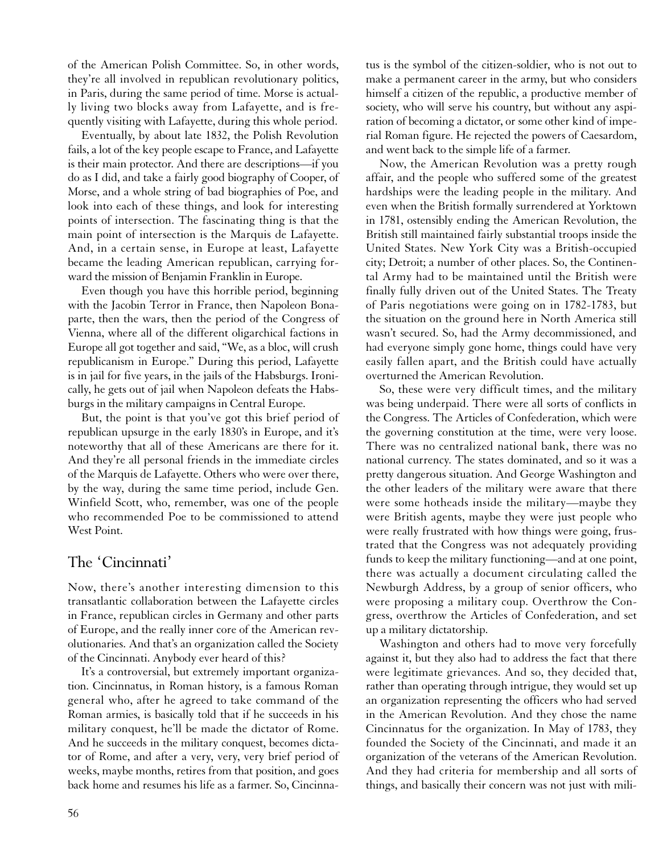of the American Polish Committee. So, in other words, they're all involved in republican revolutionary politics, in Paris, during the same period of time. Morse is actually living two blocks away from Lafayette, and is frequently visiting with Lafayette, during this whole period.

Eventually, by about late 1832, the Polish Revolution fails, a lot of the key people escape to France, and Lafayette is their main protector. And there are descriptions—if you do as I did, and take a fairly good biography of Cooper, of Morse, and a whole string of bad biographies of Poe, and look into each of these things, and look for interesting points of intersection. The fascinating thing is that the main point of intersection is the Marquis de Lafayette. And, in a certain sense, in Europe at least, Lafayette became the leading American republican, carrying forward the mission of Benjamin Franklin in Europe.

Even though you have this horrible period, beginning with the Jacobin Terror in France, then Napoleon Bonaparte, then the wars, then the period of the Congress of Vienna, where all of the different oligarchical factions in Europe all got together and said, "We, as a bloc, will crush republicanism in Europe." During this period, Lafayette is in jail for five years, in the jails of the Habsburgs. Ironically, he gets out of jail when Napoleon defeats the Habsburgs in the military campaigns in Central Europe.

But, the point is that you've got this brief period of republican upsurge in the early 1830's in Europe, and it's noteworthy that all of these Americans are there for it. And they're all personal friends in the immediate circles of the Marquis de Lafayette. Others who were over there, by the way, during the same time period, include Gen. Winfield Scott, who, remember, was one of the people who recommended Poe to be commissioned to attend West Point.

#### The 'Cincinnati'

Now, there's another interesting dimension to this transatlantic collaboration between the Lafayette circles in France, republican circles in Germany and other parts of Europe, and the really inner core of the American revolutionaries. And that's an organization called the Society of the Cincinnati. Anybody ever heard of this?

It's a controversial, but extremely important organization. Cincinnatus, in Roman history, is a famous Roman general who, after he agreed to take command of the Roman armies, is basically told that if he succeeds in his military conquest, he'll be made the dictator of Rome. And he succeeds in the military conquest, becomes dictator of Rome, and after a very, very, very brief period of weeks, maybe months, retires from that position, and goes back home and resumes his life as a farmer. So, Cincinnatus is the symbol of the citizen-soldier, who is not out to make a permanent career in the army, but who considers himself a citizen of the republic, a productive member of society, who will serve his country, but without any aspiration of becoming a dictator, or some other kind of imperial Roman figure. He rejected the powers of Caesardom, and went back to the simple life of a farmer.

Now, the American Revolution was a pretty rough affair, and the people who suffered some of the greatest hardships were the leading people in the military. And even when the British formally surrendered at Yorktown in 1781, ostensibly ending the American Revolution, the British still maintained fairly substantial troops inside the United States. New York City was a British-occupied city; Detroit; a number of other places. So, the Continental Army had to be maintained until the British were finally fully driven out of the United States. The Treaty of Paris negotiations were going on in 1782-1783, but the situation on the ground here in North America still wasn't secured. So, had the Army decommissioned, and had everyone simply gone home, things could have very easily fallen apart, and the British could have actually overturned the American Revolution.

So, these were very difficult times, and the military was being underpaid. There were all sorts of conflicts in the Congress. The Articles of Confederation, which were the governing constitution at the time, were very loose. There was no centralized national bank, there was no national currency. The states dominated, and so it was a pretty dangerous situation. And George Washington and the other leaders of the military were aware that there were some hotheads inside the military—maybe they were British agents, maybe they were just people who were really frustrated with how things were going, frustrated that the Congress was not adequately providing funds to keep the military functioning—and at one point, there was actually a document circulating called the Newburgh Address, by a group of senior officers, who were proposing a military coup. Overthrow the Congress, overthrow the Articles of Confederation, and set up a military dictatorship.

Washington and others had to move very forcefully against it, but they also had to address the fact that there were legitimate grievances. And so, they decided that, rather than operating through intrigue, they would set up an organization representing the officers who had served in the American Revolution. And they chose the name Cincinnatus for the organization. In May of 1783, they founded the Society of the Cincinnati, and made it an organization of the veterans of the American Revolution. And they had criteria for membership and all sorts of things, and basically their concern was not just with mili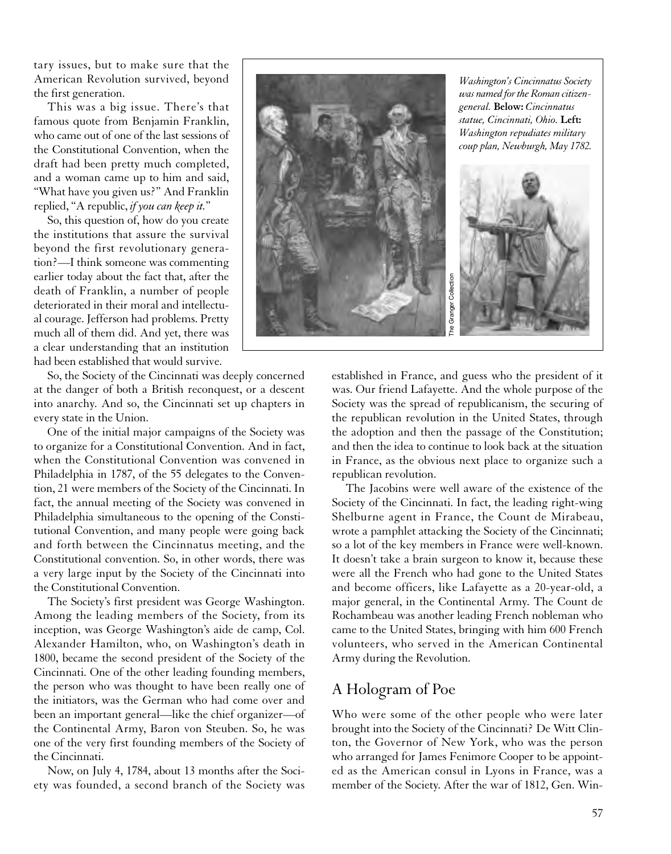tary issues, but to make sure that the American Revolution survived, beyond the first generation.

This was a big issue. There's that famous quote from Benjamin Franklin, who came out of one of the last sessions of the Constitutional Convention, when the draft had been pretty much completed, and a woman came up to him and said, "What have you given us?" And Franklin replied, "A republic, *if you can keep it.*"

So, this question of, how do you create the institutions that assure the survival beyond the first revolutionary generation?—I think someone was commenting earlier today about the fact that, after the death of Franklin, a number of people deteriorated in their moral and intellectual courage. Jefferson had problems. Pretty much all of them did. And yet, there was a clear understanding that an institution had been established that would survive.

So, the Society of the Cincinnati was deeply concerned at the danger of both a British reconquest, or a descent into anarchy. And so, the Cincinnati set up chapters in every state in the Union.

One of the initial major campaigns of the Society was to organize for a Constitutional Convention. And in fact, when the Constitutional Convention was convened in Philadelphia in 1787, of the 55 delegates to the Convention, 21 were members of the Society of the Cincinnati. In fact, the annual meeting of the Society was convened in Philadelphia simultaneous to the opening of the Constitutional Convention, and many people were going back and forth between the Cincinnatus meeting, and the Constitutional convention. So, in other words, there was a very large input by the Society of the Cincinnati into the Constitutional Convention.

The Society's first president was George Washington. Among the leading members of the Society, from its inception, was George Washington's aide de camp, Col. Alexander Hamilton, who, on Washington's death in 1800, became the second president of the Society of the Cincinnati. One of the other leading founding members, the person who was thought to have been really one of the initiators, was the German who had come over and been an important general—like the chief organizer—of the Continental Army, Baron von Steuben. So, he was one of the very first founding members of the Society of the Cincinnati.

Now, on July 4, 1784, about 13 months after the Society was founded, a second branch of the Society was



established in France, and guess who the president of it was. Our friend Lafayette. And the whole purpose of the Society was the spread of republicanism, the securing of the republican revolution in the United States, through the adoption and then the passage of the Constitution; and then the idea to continue to look back at the situation in France, as the obvious next place to organize such a republican revolution.

The Jacobins were well aware of the existence of the Society of the Cincinnati. In fact, the leading right-wing Shelburne agent in France, the Count de Mirabeau, wrote a pamphlet attacking the Society of the Cincinnati; so a lot of the key members in France were well-known. It doesn't take a brain surgeon to know it, because these were all the French who had gone to the United States and become officers, like Lafayette as a 20-year-old, a major general, in the Continental Army. The Count de Rochambeau was another leading French nobleman who came to the United States, bringing with him 600 French volunteers, who served in the American Continental Army during the Revolution.

# A Hologram of Poe

Who were some of the other people who were later brought into the Society of the Cincinnati? De Witt Clinton, the Governor of New York, who was the person who arranged for James Fenimore Cooper to be appointed as the American consul in Lyons in France, was a member of the Society. After the war of 1812, Gen. Win-